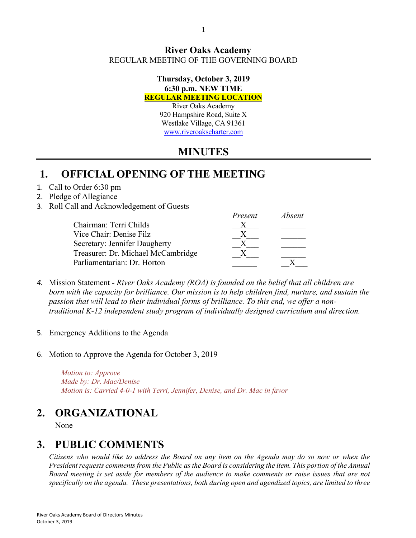### **River Oaks Academy** REGULAR MEETING OF THE GOVERNING BOARD

#### **Thursday, October 3, 2019 6:30 p.m. NEW TIME REGULAR MEETING LOCATION**

River Oaks Academy 920 Hampshire Road, Suite X Westlake Village, CA 91361 www.riveroakscharter.com

# **MINUTES**

# **1. OFFICIAL OPENING OF THE MEETING**

### 1. Call to Order 6:30 pm

- 2. Pledge of Allegiance
- 3. Roll Call and Acknowledgement of Guests

|                                    | Present | Absent |
|------------------------------------|---------|--------|
| Chairman: Terri Childs             |         |        |
| Vice Chair: Denise Filz            |         |        |
| Secretary: Jennifer Daugherty      |         |        |
| Treasurer: Dr. Michael McCambridge |         |        |
| Parliamentarian: Dr. Horton        |         |        |

- *4.* Mission Statement *River Oaks Academy (ROA) is founded on the belief that all children are born with the capacity for brilliance. Our mission is to help children find, nurture, and sustain the passion that will lead to their individual forms of brilliance. To this end, we offer a nontraditional K-12 independent study program of individually designed curriculum and direction.*
- 5. Emergency Additions to the Agenda
- 6. Motion to Approve the Agenda for October 3, 2019

*Motion to: Approve Made by: Dr. Mac/Denise Motion is: Carried 4-0-1 with Terri, Jennifer, Denise, and Dr. Mac in favor*

# **2. ORGANIZATIONAL**

None

# **3. PUBLIC COMMENTS**

*Citizens who would like to address the Board on any item on the Agenda may do so now or when the President requests comments from the Public as the Board is considering the item. This portion of the Annual Board meeting is set aside for members of the audience to make comments or raise issues that are not specifically on the agenda. These presentations, both during open and agendized topics, are limited to three*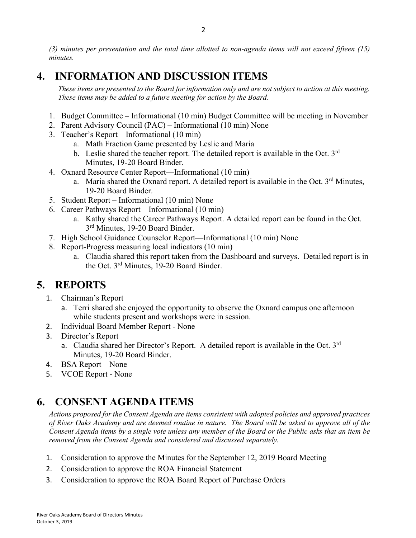*(3) minutes per presentation and the total time allotted to non-agenda items will not exceed fifteen (15) minutes.*

# **4. INFORMATION AND DISCUSSION ITEMS**

*These items are presented to the Board for information only and are not subject to action at this meeting. These items may be added to a future meeting for action by the Board.*

- 1. Budget Committee Informational (10 min) Budget Committee will be meeting in November
- 2. Parent Advisory Council (PAC) Informational (10 min) None
- 3. Teacher's Report Informational (10 min)
	- a. Math Fraction Game presented by Leslie and Maria
	- b. Leslie shared the teacher report. The detailed report is available in the Oct.  $3<sup>rd</sup>$ Minutes, 19-20 Board Binder.
- 4. Oxnard Resource Center Report—Informational (10 min)
	- a. Maria shared the Oxnard report. A detailed report is available in the Oct.  $3<sup>rd</sup>$  Minutes, 19-20 Board Binder.
- 5. Student Report Informational (10 min) None
- 6. Career Pathways Report Informational (10 min)
	- a. Kathy shared the Career Pathways Report. A detailed report can be found in the Oct. 3<sup>rd</sup> Minutes, 19-20 Board Binder.
- 7. High School Guidance Counselor Report—Informational (10 min) None
- 8. Report-Progress measuring local indicators (10 min)
	- a. Claudia shared this report taken from the Dashboard and surveys. Detailed report is in the Oct. 3rd Minutes, 19-20 Board Binder.

## **5. REPORTS**

- 1. Chairman's Report
	- a. Terri shared she enjoyed the opportunity to observe the Oxnard campus one afternoon while students present and workshops were in session.
- 2. Individual Board Member Report None
- 3. Director's Report
	- a. Claudia shared her Director's Report. A detailed report is available in the Oct. 3rd Minutes, 19-20 Board Binder.
- 4. BSA Report None
- 5. VCOE Report None

# **6. CONSENT AGENDA ITEMS**

*Actions proposed for the Consent Agenda are items consistent with adopted policies and approved practices of River Oaks Academy and are deemed routine in nature. The Board will be asked to approve all of the Consent Agenda items by a single vote unless any member of the Board or the Public asks that an item be removed from the Consent Agenda and considered and discussed separately.*

- 1. Consideration to approve the Minutes for the September 12, 2019 Board Meeting
- 2. Consideration to approve the ROA Financial Statement
- 3. Consideration to approve the ROA Board Report of Purchase Orders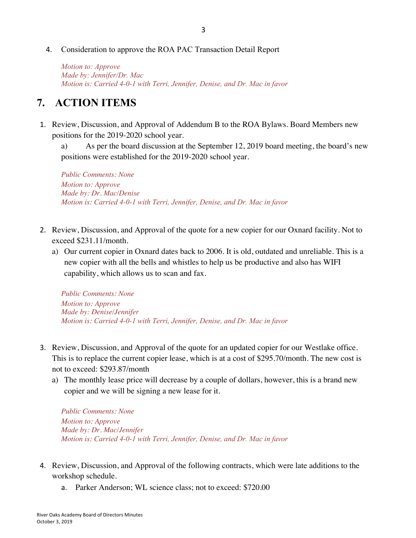#### 4. Consideration to approve the ROA PAC Transaction Detail Report

*Motion to: Approve Made by: Jennifer/Dr. Mac Motion is: Carried 4-0-1 with Terri, Jennifer, Denise, and Dr. Mac in favor*

### **7. ACTION ITEMS**

1. Review, Discussion, and Approval of Addendum B to the ROA Bylaws. Board Members new positions for the 2019-2020 school year.

a) As per the board discussion at the September 12, 2019 board meeting, the board's new positions were established for the 2019-2020 school year.

*Public Comments: None Motion to: Approve Made by: Dr. Mac/Denise Motion is: Carried 4-0-1 with Terri, Jennifer, Denise, and Dr. Mac in favor*

- 2. Review, Discussion, and Approval of the quote for a new copier for our Oxnard facility. Not to exceed \$231.11/month.
	- a) Our current copier in Oxnard dates back to 2006. It is old, outdated and unreliable. This is a new copier with all the bells and whistles to help us be productive and also has WIFI capability, which allows us to scan and fax.

*Public Comments: None Motion to: Approve Made by: Denise/Jennifer Motion is: Carried 4-0-1 with Terri, Jennifer, Denise, and Dr. Mac in favor*

- 3. Review, Discussion, and Approval of the quote for an updated copier for our Westlake office. This is to replace the current copier lease, which is at a cost of \$295.70/month. The new cost is not to exceed: \$293.87/month
	- a) The monthly lease price will decrease by a couple of dollars, however, this is a brand new copier and we will be signing a new lease for it.

*Public Comments: None Motion to: Approve Made by: Dr. Mac/Jennifer Motion is: Carried 4-0-1 with Terri, Jennifer, Denise, and Dr. Mac in favor*

- 4. Review, Discussion, and Approval of the following contracts, which were late additions to the workshop schedule.
	- a. Parker Anderson; WL science class; not to exceed: \$720.00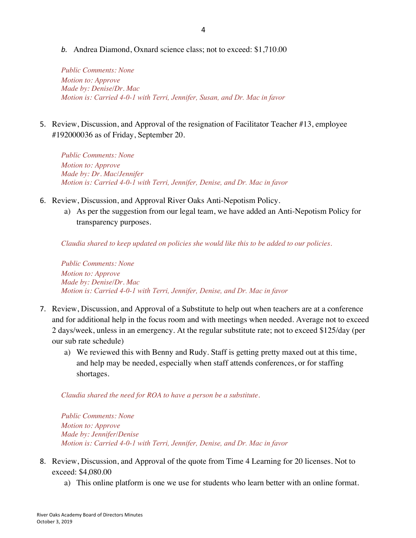*b.* Andrea Diamond, Oxnard science class; not to exceed: \$1,710.00

*Public Comments: None Motion to: Approve Made by: Denise/Dr. Mac Motion is: Carried 4-0-1 with Terri, Jennifer, Susan, and Dr. Mac in favor*

5. Review, Discussion, and Approval of the resignation of Facilitator Teacher #13, employee #192000036 as of Friday, September 20.

*Public Comments: None Motion to: Approve Made by: Dr. Mac/Jennifer Motion is: Carried 4-0-1 with Terri, Jennifer, Denise, and Dr. Mac in favor*

- 6. Review, Discussion, and Approval River Oaks Anti-Nepotism Policy.
	- a) As per the suggestion from our legal team, we have added an Anti-Nepotism Policy for transparency purposes.

*Claudia shared to keep updated on policies she would like this to be added to our policies.*

*Public Comments: None Motion to: Approve Made by: Denise/Dr. Mac Motion is: Carried 4-0-1 with Terri, Jennifer, Denise, and Dr. Mac in favor*

- 7. Review, Discussion, and Approval of a Substitute to help out when teachers are at a conference and for additional help in the focus room and with meetings when needed. Average not to exceed 2 days/week, unless in an emergency. At the regular substitute rate; not to exceed \$125/day (per our sub rate schedule)
	- a) We reviewed this with Benny and Rudy. Staff is getting pretty maxed out at this time, and help may be needed, especially when staff attends conferences, or for staffing shortages.

*Claudia shared the need for ROA to have a person be a substitute.*

*Public Comments: None Motion to: Approve Made by: Jennifer/Denise Motion is: Carried 4-0-1 with Terri, Jennifer, Denise, and Dr. Mac in favor*

- 8. Review, Discussion, and Approval of the quote from Time 4 Learning for 20 licenses. Not to exceed: \$4,080.00
	- a) This online platform is one we use for students who learn better with an online format.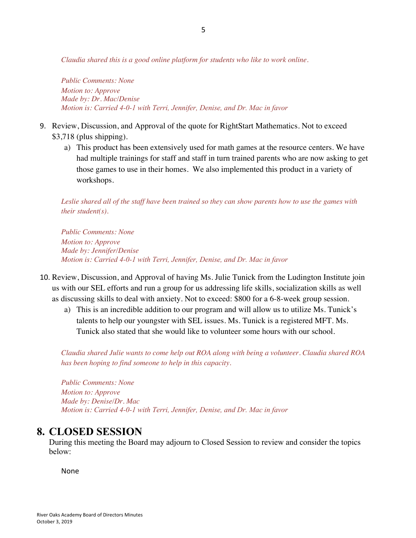*Claudia shared this is a good online platform for students who like to work online.*

*Public Comments: None Motion to: Approve Made by: Dr. Mac/Denise Motion is: Carried 4-0-1 with Terri, Jennifer, Denise, and Dr. Mac in favor*

- 9. Review, Discussion, and Approval of the quote for RightStart Mathematics. Not to exceed \$3,718 (plus shipping).
	- a) This product has been extensively used for math games at the resource centers. We have had multiple trainings for staff and staff in turn trained parents who are now asking to get those games to use in their homes. We also implemented this product in a variety of workshops.

*Leslie shared all of the staff have been trained so they can show parents how to use the games with their student(s).* 

*Public Comments: None Motion to: Approve Made by: Jennifer/Denise Motion is: Carried 4-0-1 with Terri, Jennifer, Denise, and Dr. Mac in favor*

- 10. Review, Discussion, and Approval of having Ms. Julie Tunick from the Ludington Institute join us with our SEL efforts and run a group for us addressing life skills, socialization skills as well as discussing skills to deal with anxiety. Not to exceed: \$800 for a 6-8-week group session.
	- a) This is an incredible addition to our program and will allow us to utilize Ms. Tunick's talents to help our youngster with SEL issues. Ms. Tunick is a registered MFT. Ms. Tunick also stated that she would like to volunteer some hours with our school.

*Claudia shared Julie wants to come help out ROA along with being a volunteer. Claudia shared ROA has been hoping to find someone to help in this capacity.*

*Public Comments: None Motion to: Approve Made by: Denise/Dr. Mac Motion is: Carried 4-0-1 with Terri, Jennifer, Denise, and Dr. Mac in favor*

### **8. CLOSED SESSION**

During this meeting the Board may adjourn to Closed Session to review and consider the topics below:

None